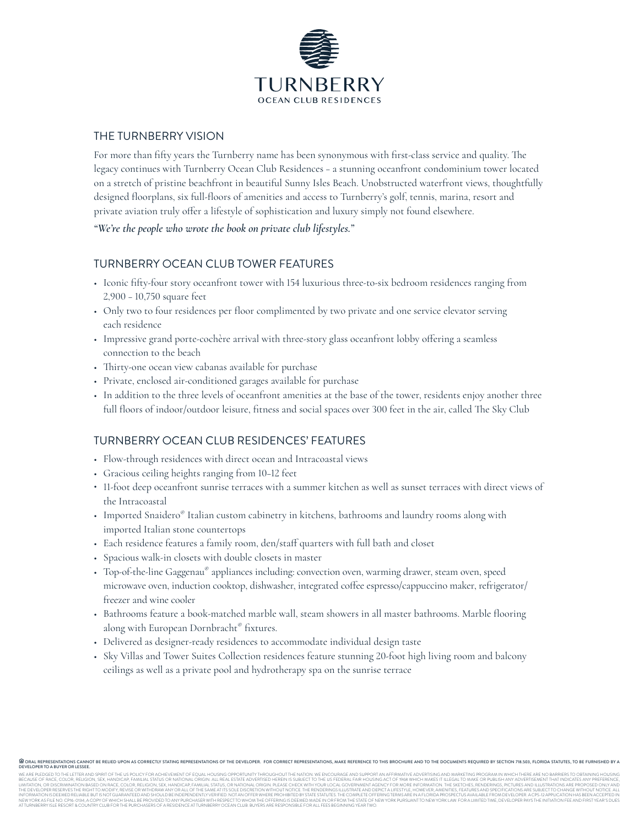

### THE TURNBERRY VISION

For more than fifty years the Turnberry name has been synonymous with first-class service and quality. The legacy continues with Turnberry Ocean Club Residences – a stunning oceanfront condominium tower located on a stretch of pristine beachfront in beautiful Sunny Isles Beach. Unobstructed waterfront views, thoughtfully designed floorplans, six full-floors of amenities and access to Turnberry's golf, tennis, marina, resort and private aviation truly offer a lifestyle of sophistication and luxury simply not found elsewhere.

*"We're the people who wrote the book on private club lifestyles."*

### TURNBERRY OCEAN CLUB TOWER FEATURES

- Iconic fifty-four story oceanfront tower with 154 luxurious three-to-six bedroom residences ranging from 2,900 – 10,750 square feet
- Only two to four residences per floor complimented by two private and one service elevator serving each residence
- Impressive grand porte-cochère arrival with three-story glass oceanfront lobby offering a seamless connection to the beach
- Thirty-one ocean view cabanas available for purchase
- Private, enclosed air-conditioned garages available for purchase
- In addition to the three levels of oceanfront amenities at the base of the tower, residents enjoy another three full floors of indoor/outdoor leisure, fitness and social spaces over 300 feet in the air, called The Sky Club

## TURNBERRY OCEAN CLUB RESIDENCES' FEATURES

- Flow-through residences with direct ocean and Intracoastal views
- Gracious ceiling heights ranging from 10–12 feet
- 11-foot deep oceanfront sunrise terraces with a summer kitchen as well as sunset terraces with direct views of the Intracoastal
- Imported Snaidero® Italian custom cabinetry in kitchens, bathrooms and laundry rooms along with imported Italian stone countertops
- Each residence features a family room, den/staff quarters with full bath and closet
- Spacious walk-in closets with double closets in master
- Top-of-the-line Gaggenau® appliances including: convection oven, warming drawer, steam oven, speed microwave oven, induction cooktop, dishwasher, integrated coffee espresso/cappuccino maker, refrigerator/ freezer and wine cooler
- Bathrooms feature a book-matched marble wall, steam showers in all master bathrooms. Marble flooring along with European Dornbracht® fixtures.
- Delivered as designer-ready residences to accommodate individual design taste
- Sky Villas and Tower Suites Collection residences feature stunning 20-foot high living room and balcony ceilings as well as a private pool and hydrotherapy spa on the sunrise terrace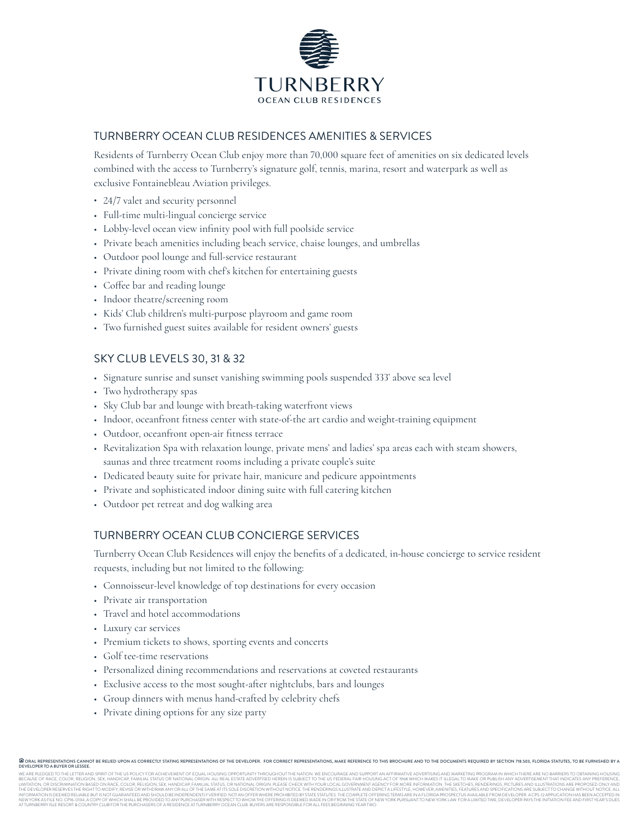

## TURNBERRY OCEAN CLUB RESIDENCES AMENITIES & SERVICES

Residents of Turnberry Ocean Club enjoy more than 70,000 square feet of amenities on six dedicated levels combined with the access to Turnberry's signature golf, tennis, marina, resort and waterpark as well as exclusive Fontainebleau Aviation privileges.

- 24/7 valet and security personnel
- Full-time multi-lingual concierge service
- Lobby-level ocean view infinity pool with full poolside service
- Private beach amenities including beach service, chaise lounges, and umbrellas
- Outdoor pool lounge and full-service restaurant
- Private dining room with chef's kitchen for entertaining guests
- Coffee bar and reading lounge
- Indoor theatre/screening room
- Kids' Club children's multi-purpose playroom and game room
- Two furnished guest suites available for resident owners' guests

# SKY CLUB LEVELS 30, 31 & 32

- Signature sunrise and sunset vanishing swimming pools suspended 333' above sea level
- Two hydrotherapy spas
- Sky Club bar and lounge with breath-taking waterfront views
- Indoor, oceanfront fitness center with state-of-the art cardio and weight-training equipment
- Outdoor, oceanfront open-air fitness terrace
- Revitalization Spa with relaxation lounge, private mens' and ladies' spa areas each with steam showers, saunas and three treatment rooms including a private couple's suite
- Dedicated beauty suite for private hair, manicure and pedicure appointments
- Private and sophisticated indoor dining suite with full catering kitchen
- Outdoor pet retreat and dog walking area

## TURNBERRY OCEAN CLUB CONCIERGE SERVICES

Turnberry Ocean Club Residences will enjoy the benefits of a dedicated, in-house concierge to service resident requests, including but not limited to the following:

- Connoisseur-level knowledge of top destinations for every occasion
- Private air transportation
- Travel and hotel accommodations
- Luxury car services
- Premium tickets to shows, sporting events and concerts
- Golf tee-time reservations
- Personalized dining recommendations and reservations at coveted restaurants
- Exclusive access to the most sought-after nightclubs, bars and lounges
- Group dinners with menus hand-crafted by celebrity chefs
- Private dining options for any size party

**DEVELOPER TO A BUYER OR LESSEE.**<br>WE ARE PLEGGED TO THE LETTER AND SPRIT OF THE US POLICY FOR A CHIEVEMENT OF EQUAL HOUSING OPPORTUNITY THROUGHOUT THE NUMBER AND SUPPORT AN AFFRAMTVE ADVERTING AND MARKETING PROGRAM IN WHIC INFORMATION IS DEEMED RELIABLE BUT IS NOT GUARANTEED AND SHOULD BE INDEPENDENTLY VERIFIED. NOT AN OFFER WHERE PROHIBITED BY STATE STATUTES. THE COMPLETE OFFERING TERMS ARE IN A FLORIDA PROSPECTUS AVAILABLE FROM DEVELOPER. A CPS-12 APPLICATION HAS BEEN ACCEPTED IN NEWYORKAS FILENO. CPIO-0194, A COPYOF WHICH SHALLBE PROVIDED TO ANY PURCHASER WITH RESPECTTO WHOM THE OFFERINGIS DEEMING IS DEEN ON THE INVERSIONTED THE WYORK PURSUANT TO NEW YORK LAW. FOR A LIMITED TIME, DEVELOPER PAYS TH